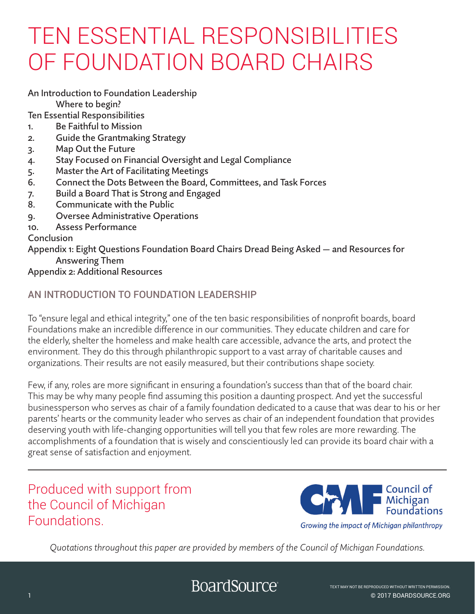An Introduction to Foundation Leadership

Where to begin?

Ten Essential Responsibilities

- 1. Be Faithful to Mission
- 2. Guide the Grantmaking Strategy
- 3. Map Out the Future
- 4. Stay Focused on Financial Oversight and Legal Compliance
- 5. Master the Art of Facilitating Meetings
- 6. Connect the Dots Between the Board, Committees, and Task Forces
- 7. Build a Board That is Strong and Engaged
- 8. Communicate with the Public
- 9. Oversee Administrative Operations
- 10. Assess Performance

# Conclusion

Appendix 1: Eight Questions Foundation Board Chairs Dread Being Asked — and Resources for Answering Them

# Appendix 2: Additional Resources

# AN INTRODUCTION TO FOUNDATION LEADERSHIP

To "ensure legal and ethical integrity," one of the ten basic responsibilities of nonprofit boards, board Foundations make an incredible difference in our communities. They educate children and care for the elderly, shelter the homeless and make health care accessible, advance the arts, and protect the environment. They do this through philanthropic support to a vast array of charitable causes and organizations. Their results are not easily measured, but their contributions shape society.

Few, if any, roles are more significant in ensuring a foundation's success than that of the board chair. This may be why many people find assuming this position a daunting prospect. And yet the successful businessperson who serves as chair of a family foundation dedicated to a cause that was dear to his or her parents' hearts or the community leader who serves as chair of an independent foundation that provides deserving youth with life-changing opportunities will tell you that few roles are more rewarding. The accomplishments of a foundation that is wisely and conscientiously led can provide its board chair with a great sense of satisfaction and enjoyment.

# Produced with support from the Council of Michigan **Foundations**



*Quotations throughout this paper are provided by members of the Council of Michigan Foundations.*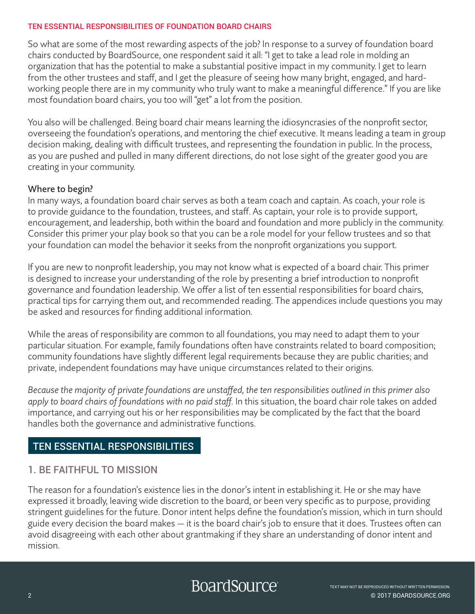So what are some of the most rewarding aspects of the job? In response to a survey of foundation board chairs conducted by BoardSource, one respondent said it all: "I get to take a lead role in molding an organization that has the potential to make a substantial positive impact in my community. I get to learn from the other trustees and staff, and I get the pleasure of seeing how many bright, engaged, and hardworking people there are in my community who truly want to make a meaningful difference." If you are like most foundation board chairs, you too will "get" a lot from the position.

You also will be challenged. Being board chair means learning the idiosyncrasies of the nonprofit sector, overseeing the foundation's operations, and mentoring the chief executive. It means leading a team in group decision making, dealing with difficult trustees, and representing the foundation in public. In the process, as you are pushed and pulled in many different directions, do not lose sight of the greater good you are creating in your community.

#### Where to begin?

In many ways, a foundation board chair serves as both a team coach and captain. As coach, your role is to provide guidance to the foundation, trustees, and staff. As captain, your role is to provide support, encouragement, and leadership, both within the board and foundation and more publicly in the community. Consider this primer your play book so that you can be a role model for your fellow trustees and so that your foundation can model the behavior it seeks from the nonprofit organizations you support.

If you are new to nonprofit leadership, you may not know what is expected of a board chair. This primer is designed to increase your understanding of the role by presenting a brief introduction to nonprofit governance and foundation leadership. We offer a list of ten essential responsibilities for board chairs, practical tips for carrying them out, and recommended reading. The appendices include questions you may be asked and resources for finding additional information.

While the areas of responsibility are common to all foundations, you may need to adapt them to your particular situation. For example, family foundations often have constraints related to board composition; community foundations have slightly different legal requirements because they are public charities; and private, independent foundations may have unique circumstances related to their origins.

*Because the majority of private foundations are unstaffed, the ten responsibilities outlined in this primer also apply to board chairs of foundations with no paid staff.* In this situation, the board chair role takes on added importance, and carrying out his or her responsibilities may be complicated by the fact that the board handles both the governance and administrative functions.

# TEN ESSENTIAL RESPONSIBILITIES

## 1. BE FAITHFUL TO MISSION

The reason for a foundation's existence lies in the donor's intent in establishing it. He or she may have expressed it broadly, leaving wide discretion to the board, or been very specific as to purpose, providing stringent guidelines for the future. Donor intent helps define the foundation's mission, which in turn should guide every decision the board makes — it is the board chair's job to ensure that it does. Trustees often can avoid disagreeing with each other about grantmaking if they share an understanding of donor intent and mission.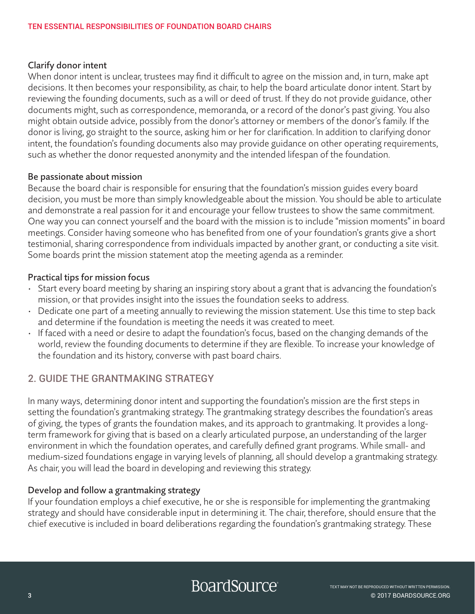#### Clarify donor intent

When donor intent is unclear, trustees may find it difficult to agree on the mission and, in turn, make apt decisions. It then becomes your responsibility, as chair, to help the board articulate donor intent. Start by reviewing the founding documents, such as a will or deed of trust. If they do not provide guidance, other documents might, such as correspondence, memoranda, or a record of the donor's past giving. You also might obtain outside advice, possibly from the donor's attorney or members of the donor's family. If the donor is living, go straight to the source, asking him or her for clarification. In addition to clarifying donor intent, the foundation's founding documents also may provide guidance on other operating requirements, such as whether the donor requested anonymity and the intended lifespan of the foundation.

#### Be passionate about mission

Because the board chair is responsible for ensuring that the foundation's mission guides every board decision, you must be more than simply knowledgeable about the mission. You should be able to articulate and demonstrate a real passion for it and encourage your fellow trustees to show the same commitment. One way you can connect yourself and the board with the mission is to include "mission moments" in board meetings. Consider having someone who has benefited from one of your foundation's grants give a short testimonial, sharing correspondence from individuals impacted by another grant, or conducting a site visit. Some boards print the mission statement atop the meeting agenda as a reminder.

#### Practical tips for mission focus

- Start every board meeting by sharing an inspiring story about a grant that is advancing the foundation's mission, or that provides insight into the issues the foundation seeks to address.
- Dedicate one part of a meeting annually to reviewing the mission statement. Use this time to step back and determine if the foundation is meeting the needs it was created to meet.
- If faced with a need or desire to adapt the foundation's focus, based on the changing demands of the world, review the founding documents to determine if they are flexible. To increase your knowledge of the foundation and its history, converse with past board chairs.

## 2. GUIDE THE GRANTMAKING STRATEGY

In many ways, determining donor intent and supporting the foundation's mission are the first steps in setting the foundation's grantmaking strategy. The grantmaking strategy describes the foundation's areas of giving, the types of grants the foundation makes, and its approach to grantmaking. It provides a longterm framework for giving that is based on a clearly articulated purpose, an understanding of the larger environment in which the foundation operates, and carefully defined grant programs. While small- and medium-sized foundations engage in varying levels of planning, all should develop a grantmaking strategy. As chair, you will lead the board in developing and reviewing this strategy.

#### Develop and follow a grantmaking strategy

If your foundation employs a chief executive, he or she is responsible for implementing the grantmaking strategy and should have considerable input in determining it. The chair, therefore, should ensure that the chief executive is included in board deliberations regarding the foundation's grantmaking strategy. These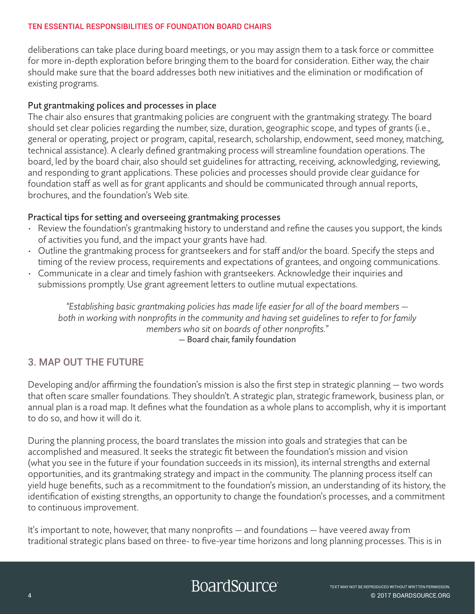deliberations can take place during board meetings, or you may assign them to a task force or committee for more in-depth exploration before bringing them to the board for consideration. Either way, the chair should make sure that the board addresses both new initiatives and the elimination or modification of existing programs.

#### Put grantmaking polices and processes in place

The chair also ensures that grantmaking policies are congruent with the grantmaking strategy. The board should set clear policies regarding the number, size, duration, geographic scope, and types of grants (i.e., general or operating, project or program, capital, research, scholarship, endowment, seed money, matching, technical assistance). A clearly defined grantmaking process will streamline foundation operations. The board, led by the board chair, also should set guidelines for attracting, receiving, acknowledging, reviewing, and responding to grant applications. These policies and processes should provide clear guidance for foundation staff as well as for grant applicants and should be communicated through annual reports, brochures, and the foundation's Web site.

#### Practical tips for setting and overseeing grantmaking processes

- Review the foundation's grantmaking history to understand and refine the causes you support, the kinds of activities you fund, and the impact your grants have had.
- Outline the grantmaking process for grantseekers and for staff and/or the board. Specify the steps and timing of the review process, requirements and expectations of grantees, and ongoing communications.
- Communicate in a clear and timely fashion with grantseekers. Acknowledge their inquiries and submissions promptly. Use grant agreement letters to outline mutual expectations.

*"Establishing basic grantmaking policies has made life easier for all of the board members both in working with nonprofits in the community and having set guidelines to refer to for family members who sit on boards of other nonprofits."*  — Board chair, family foundation

# 3. MAP OUT THE FUTURE

Developing and/or affirming the foundation's mission is also the first step in strategic planning — two words that often scare smaller foundations. They shouldn't. A strategic plan, strategic framework, business plan, or annual plan is a road map. It defines what the foundation as a whole plans to accomplish, why it is important to do so, and how it will do it.

During the planning process, the board translates the mission into goals and strategies that can be accomplished and measured. It seeks the strategic fit between the foundation's mission and vision (what you see in the future if your foundation succeeds in its mission), its internal strengths and external opportunities, and its grantmaking strategy and impact in the community. The planning process itself can yield huge benefits, such as a recommitment to the foundation's mission, an understanding of its history, the identification of existing strengths, an opportunity to change the foundation's processes, and a commitment to continuous improvement.

It's important to note, however, that many nonprofits — and foundations — have veered away from traditional strategic plans based on three- to five-year time horizons and long planning processes. This is in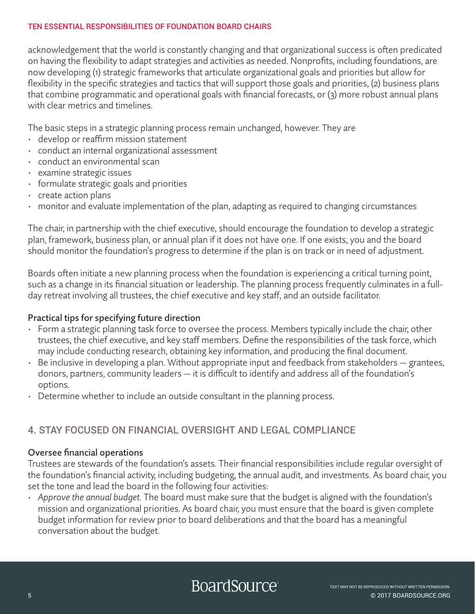acknowledgement that the world is constantly changing and that organizational success is often predicated on having the flexibility to adapt strategies and activities as needed. Nonprofits, including foundations, are now developing (1) strategic frameworks that articulate organizational goals and priorities but allow for flexibility in the specific strategies and tactics that will support those goals and priorities, (2) business plans that combine programmatic and operational goals with financial forecasts, or (3) more robust annual plans with clear metrics and timelines.

The basic steps in a strategic planning process remain unchanged, however. They are

- develop or reaffirm mission statement
- conduct an internal organizational assessment
- conduct an environmental scan
- examine strategic issues
- formulate strategic goals and priorities
- create action plans
- monitor and evaluate implementation of the plan, adapting as required to changing circumstances

The chair, in partnership with the chief executive, should encourage the foundation to develop a strategic plan, framework, business plan, or annual plan if it does not have one. If one exists, you and the board should monitor the foundation's progress to determine if the plan is on track or in need of adjustment.

Boards often initiate a new planning process when the foundation is experiencing a critical turning point, such as a change in its financial situation or leadership. The planning process frequently culminates in a fullday retreat involving all trustees, the chief executive and key staff, and an outside facilitator.

#### Practical tips for specifying future direction

- Form a strategic planning task force to oversee the process. Members typically include the chair, other trustees, the chief executive, and key staff members. Define the responsibilities of the task force, which may include conducting research, obtaining key information, and producing the final document.
- Be inclusive in developing a plan. Without appropriate input and feedback from stakeholders grantees, donors, partners, community leaders — it is difficult to identify and address all of the foundation's options.
- Determine whether to include an outside consultant in the planning process.

# 4. STAY FOCUSED ON FINANCIAL OVERSIGHT AND LEGAL COMPLIANCE

#### Oversee financial operations

Trustees are stewards of the foundation's assets. Their financial responsibilities include regular oversight of the foundation's financial activity, including budgeting, the annual audit, and investments. As board chair, you set the tone and lead the board in the following four activities:

*• Approve the annual budget.* The board must make sure that the budget is aligned with the foundation's mission and organizational priorities. As board chair, you must ensure that the board is given complete budget information for review prior to board deliberations and that the board has a meaningful conversation about the budget.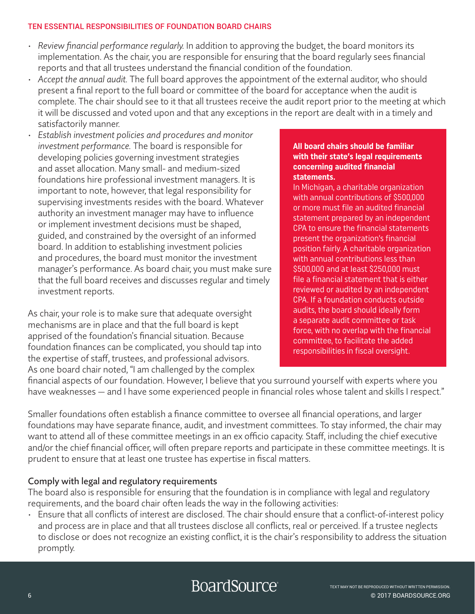- *• Review financial performance regularly.* In addition to approving the budget, the board monitors its implementation. As the chair, you are responsible for ensuring that the board regularly sees financial reports and that all trustees understand the financial condition of the foundation.
- *• Accept the annual audit.* The full board approves the appointment of the external auditor, who should present a final report to the full board or committee of the board for acceptance when the audit is complete. The chair should see to it that all trustees receive the audit report prior to the meeting at which it will be discussed and voted upon and that any exceptions in the report are dealt with in a timely and satisfactorily manner.
- *• Establish investment policies and procedures and monitor investment performance.* The board is responsible for developing policies governing investment strategies and asset allocation. Many small- and medium-sized foundations hire professional investment managers. It is important to note, however, that legal responsibility for supervising investments resides with the board. Whatever authority an investment manager may have to influence or implement investment decisions must be shaped, guided, and constrained by the oversight of an informed board. In addition to establishing investment policies and procedures, the board must monitor the investment manager's performance. As board chair, you must make sure that the full board receives and discusses regular and timely investment reports.

As chair, your role is to make sure that adequate oversight mechanisms are in place and that the full board is kept apprised of the foundation's financial situation. Because foundation finances can be complicated, you should tap into the expertise of staff, trustees, and professional advisors. As one board chair noted, "I am challenged by the complex

#### **All board chairs should be familiar with their state's legal requirements concerning audited financial statements.**

In Michigan, a charitable organization with annual contributions of \$500,000 or more must file an audited financial statement prepared by an independent CPA to ensure the financial statements present the organization's financial position fairly. A charitable organization with annual contributions less than \$500,000 and at least \$250,000 must file a financial statement that is either reviewed or audited by an independent CPA. If a foundation conducts outside audits, the board should ideally form a separate audit committee or task force, with no overlap with the financial committee, to facilitate the added responsibilities in fiscal oversight.

financial aspects of our foundation. However, I believe that you surround yourself with experts where you have weaknesses — and I have some experienced people in financial roles whose talent and skills I respect."

Smaller foundations often establish a finance committee to oversee all financial operations, and larger foundations may have separate finance, audit, and investment committees. To stay informed, the chair may want to attend all of these committee meetings in an ex officio capacity. Staff, including the chief executive and/or the chief financial officer, will often prepare reports and participate in these committee meetings. It is prudent to ensure that at least one trustee has expertise in fiscal matters.

#### Comply with legal and regulatory requirements

The board also is responsible for ensuring that the foundation is in compliance with legal and regulatory requirements, and the board chair often leads the way in the following activities:

• Ensure that all conflicts of interest are disclosed. The chair should ensure that a conflict-of-interest policy and process are in place and that all trustees disclose all conflicts, real or perceived. If a trustee neglects to disclose or does not recognize an existing conflict, it is the chair's responsibility to address the situation promptly.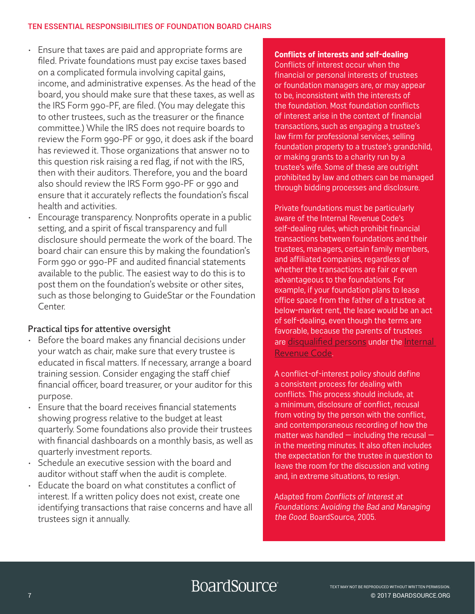- Ensure that taxes are paid and appropriate forms are filed. Private foundations must pay excise taxes based on a complicated formula involving capital gains, income, and administrative expenses. As the head of the board, you should make sure that these taxes, as well as the IRS Form 990-PF, are filed. (You may delegate this to other trustees, such as the treasurer or the finance committee.) While the IRS does not require boards to review the Form 990-PF or 990, it does ask if the board has reviewed it. Those organizations that answer no to this question risk raising a red flag, if not with the IRS, then with their auditors. Therefore, you and the board also should review the IRS Form 990-PF or 990 and ensure that it accurately reflects the foundation's fiscal health and activities.
- Encourage transparency. Nonprofits operate in a public setting, and a spirit of fiscal transparency and full disclosure should permeate the work of the board. The board chair can ensure this by making the foundation's Form 990 or 990-PF and audited financial statements available to the public. The easiest way to do this is to post them on the foundation's website or other sites, such as those belonging to GuideStar or the Foundation Center.

#### Practical tips for attentive oversight

- Before the board makes any financial decisions under your watch as chair, make sure that every trustee is educated in fiscal matters. If necessary, arrange a board training session. Consider engaging the staff chief financial officer, board treasurer, or your auditor for this purpose.
- Ensure that the board receives financial statements showing progress relative to the budget at least quarterly. Some foundations also provide their trustees with financial dashboards on a monthly basis, as well as quarterly investment reports.
- Schedule an executive session with the board and auditor without staff when the audit is complete.
- Educate the board on what constitutes a conflict of interest. If a written policy does not exist, create one identifying transactions that raise concerns and have all trustees sign it annually.

#### **Conflicts of interests and self-dealing**  Conflicts of interest occur when the financial or personal interests of trustees or foundation managers are, or may appear to be, inconsistent with the interests of the foundation. Most foundation conflicts of interest arise in the context of financial transactions, such as engaging a trustee's law firm for professional services, selling foundation property to a trustee's grandchild, or making grants to a charity run by a trustee's wife. Some of these are outright prohibited by law and others can be managed through bidding processes and disclosure.

Private foundations must be particularly aware of the Internal Revenue Code's self-dealing rules, which prohibit financial transactions between foundations and their trustees, managers, certain family members, and affiliated companies, regardless of whether the transactions are fair or even advantageous to the foundations. For example, if your foundation plans to lease office space from the father of a trustee at below-market rent, the lease would be an act of self-dealing, even though the terms are favorable, because the parents of trustees are [disqualified persons](https://www.irs.gov/irm/part7/irm_07-027-020.html) under the [Internal](https://www.irs.gov/irm/part4/irm_04-072-011.html)  [Revenue Code](https://www.irs.gov/irm/part4/irm_04-072-011.html).

A conflict-of-interest policy should define a consistent process for dealing with conflicts. This process should include, at a minimum, disclosure of conflict, recusal from voting by the person with the conflict, and contemporaneous recording of how the matter was handled  $-$  including the recusal  $$ in the meeting minutes. It also often includes the expectation for the trustee in question to leave the room for the discussion and voting and, in extreme situations, to resign.

Adapted from Conflicts of Interest at Foundations: Avoiding the Bad and Managing the Good. BoardSource, 2005.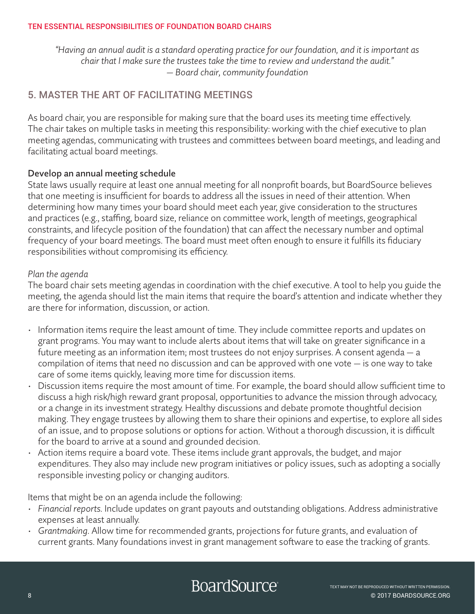*"Having an annual audit is a standard operating practice for our foundation, and it is important as chair that I make sure the trustees take the time to review and understand the audit." — Board chair, community foundation*

# 5. MASTER THE ART OF FACILITATING MEETINGS

As board chair, you are responsible for making sure that the board uses its meeting time effectively. The chair takes on multiple tasks in meeting this responsibility: working with the chief executive to plan meeting agendas, communicating with trustees and committees between board meetings, and leading and facilitating actual board meetings.

#### Develop an annual meeting schedule

State laws usually require at least one annual meeting for all nonprofit boards, but BoardSource believes that one meeting is insufficient for boards to address all the issues in need of their attention. When determining how many times your board should meet each year, give consideration to the structures and practices (e.g., staffing, board size, reliance on committee work, length of meetings, geographical constraints, and lifecycle position of the foundation) that can affect the necessary number and optimal frequency of your board meetings. The board must meet often enough to ensure it fulfills its fiduciary responsibilities without compromising its efficiency.

#### *Plan the agenda*

The board chair sets meeting agendas in coordination with the chief executive. A tool to help you guide the meeting, the agenda should list the main items that require the board's attention and indicate whether they are there for information, discussion, or action.

- Information items require the least amount of time. They include committee reports and updates on grant programs. You may want to include alerts about items that will take on greater significance in a future meeting as an information item; most trustees do not enjoy surprises. A consent agenda — a compilation of items that need no discussion and can be approved with one vote — is one way to take care of some items quickly, leaving more time for discussion items.
- Discussion items require the most amount of time. For example, the board should allow sufficient time to discuss a high risk/high reward grant proposal, opportunities to advance the mission through advocacy, or a change in its investment strategy. Healthy discussions and debate promote thoughtful decision making. They engage trustees by allowing them to share their opinions and expertise, to explore all sides of an issue, and to propose solutions or options for action. Without a thorough discussion, it is difficult for the board to arrive at a sound and grounded decision.
- Action items require a board vote. These items include grant approvals, the budget, and major expenditures. They also may include new program initiatives or policy issues, such as adopting a socially responsible investing policy or changing auditors.

Items that might be on an agenda include the following:

- *Financial reports.* Include updates on grant payouts and outstanding obligations. Address administrative expenses at least annually.
- *Grantmaking.* Allow time for recommended grants, projections for future grants, and evaluation of current grants. Many foundations invest in grant management software to ease the tracking of grants.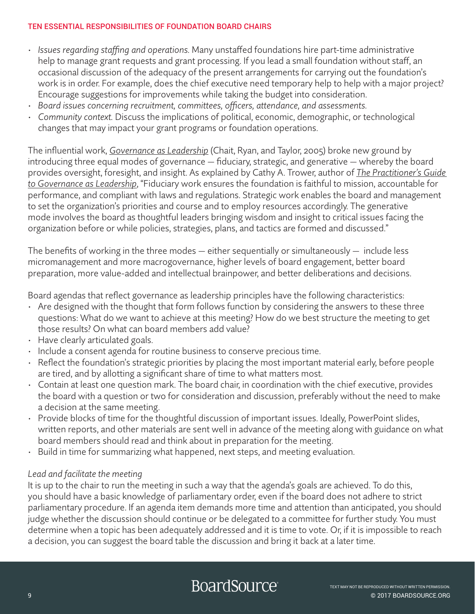- *Issues regarding staffing and operations.* Many unstaffed foundations hire part-time administrative help to manage grant requests and grant processing. If you lead a small foundation without staff, an occasional discussion of the adequacy of the present arrangements for carrying out the foundation's work is in order. For example, does the chief executive need temporary help to help with a major project? Encourage suggestions for improvements while taking the budget into consideration.
- *Board issues concerning recruitment, committees, officers, attendance, and assessments.*
- *Community context.* Discuss the implications of political, economic, demographic, or technological changes that may impact your grant programs or foundation operations.

The influential work, *[Governance as Leadership](https://my.boardsource.org/eweb/DynamicPage.aspx?Action=Add&ObjectKeyFrom=1A83491A-9853-4C87-86A4-F7D95601C2E2&WebCode=ProdDetailAdd&DoNotSave=yes&ParentObject=CentralizedOrderEntry&ParentDataObject=Invoice Detail&ivd_formkey=69202792-63d7-4ba2-bf4e-a0da41270555&ivd_cst_key=00000000-0000-0000-0000-000000000000&ivd_prc_prd_key=F1A03B3F-D1AF-4561-82EB-345FE79BC230)* (Chait, Ryan, and Taylor, 2005) broke new ground by introducing three equal modes of governance — fiduciary, strategic, and generative — whereby the board provides oversight, foresight, and insight. As explained by Cathy A. Trower, author of *[The Practitioner's Guide](https://my.boardsource.org/eweb/DynamicPage.aspx?Action=Add&ObjectKeyFrom=1A83491A-9853-4C87-86A4-F7D95601C2E2&WebCode=ProdDetailAdd&DoNotSave=yes&ParentObject=CentralizedOrderEntry&ParentDataObject=Invoice Detail&ivd_formkey=69202792-63d7-4ba2-bf4e-a0da41270555&ivd_cst_key=00000000-0000-0000-0000-000000000000&ivd_prc_prd_key=F5E22CE3-8E8B-434F-A1A6-B0CBC7037323)  [to Governance as Leadership](https://my.boardsource.org/eweb/DynamicPage.aspx?Action=Add&ObjectKeyFrom=1A83491A-9853-4C87-86A4-F7D95601C2E2&WebCode=ProdDetailAdd&DoNotSave=yes&ParentObject=CentralizedOrderEntry&ParentDataObject=Invoice Detail&ivd_formkey=69202792-63d7-4ba2-bf4e-a0da41270555&ivd_cst_key=00000000-0000-0000-0000-000000000000&ivd_prc_prd_key=F5E22CE3-8E8B-434F-A1A6-B0CBC7037323)*, "Fiduciary work ensures the foundation is faithful to mission, accountable for performance, and compliant with laws and regulations. Strategic work enables the board and management to set the organization's priorities and course and to employ resources accordingly. The generative mode involves the board as thoughtful leaders bringing wisdom and insight to critical issues facing the organization before or while policies, strategies, plans, and tactics are formed and discussed."

The benefits of working in the three modes  $-$  either sequentially or simultaneously  $-$  include less micromanagement and more macrogovernance, higher levels of board engagement, better board preparation, more value-added and intellectual brainpower, and better deliberations and decisions.

Board agendas that reflect governance as leadership principles have the following characteristics:

- Are designed with the thought that form follows function by considering the answers to these three questions: What do we want to achieve at this meeting? How do we best structure the meeting to get those results? On what can board members add value?
- Have clearly articulated goals.
- Include a consent agenda for routine business to conserve precious time.
- Reflect the foundation's strategic priorities by placing the most important material early, before people are tired, and by allotting a significant share of time to what matters most.
- Contain at least one question mark. The board chair, in coordination with the chief executive, provides the board with a question or two for consideration and discussion, preferably without the need to make a decision at the same meeting.
- Provide blocks of time for the thoughtful discussion of important issues. Ideally, PowerPoint slides, written reports, and other materials are sent well in advance of the meeting along with guidance on what board members should read and think about in preparation for the meeting.
- Build in time for summarizing what happened, next steps, and meeting evaluation.

#### *Lead and facilitate the meeting*

It is up to the chair to run the meeting in such a way that the agenda's goals are achieved. To do this, you should have a basic knowledge of parliamentary order, even if the board does not adhere to strict parliamentary procedure. If an agenda item demands more time and attention than anticipated, you should judge whether the discussion should continue or be delegated to a committee for further study. You must determine when a topic has been adequately addressed and it is time to vote. Or, if it is impossible to reach a decision, you can suggest the board table the discussion and bring it back at a later time.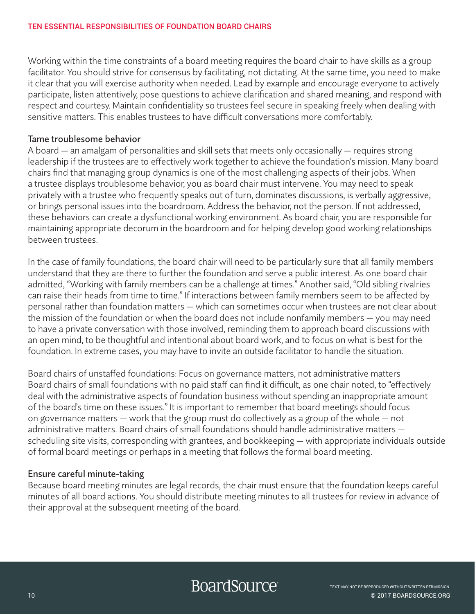Working within the time constraints of a board meeting requires the board chair to have skills as a group facilitator. You should strive for consensus by facilitating, not dictating. At the same time, you need to make it clear that you will exercise authority when needed. Lead by example and encourage everyone to actively participate, listen attentively, pose questions to achieve clarification and shared meaning, and respond with respect and courtesy. Maintain confidentiality so trustees feel secure in speaking freely when dealing with sensitive matters. This enables trustees to have difficult conversations more comfortably.

#### Tame troublesome behavior

A board — an amalgam of personalities and skill sets that meets only occasionally — requires strong leadership if the trustees are to effectively work together to achieve the foundation's mission. Many board chairs find that managing group dynamics is one of the most challenging aspects of their jobs. When a trustee displays troublesome behavior, you as board chair must intervene. You may need to speak privately with a trustee who frequently speaks out of turn, dominates discussions, is verbally aggressive, or brings personal issues into the boardroom. Address the behavior, not the person. If not addressed, these behaviors can create a dysfunctional working environment. As board chair, you are responsible for maintaining appropriate decorum in the boardroom and for helping develop good working relationships between trustees.

In the case of family foundations, the board chair will need to be particularly sure that all family members understand that they are there to further the foundation and serve a public interest. As one board chair admitted, "Working with family members can be a challenge at times." Another said, "Old sibling rivalries can raise their heads from time to time." If interactions between family members seem to be affected by personal rather than foundation matters — which can sometimes occur when trustees are not clear about the mission of the foundation or when the board does not include nonfamily members — you may need to have a private conversation with those involved, reminding them to approach board discussions with an open mind, to be thoughtful and intentional about board work, and to focus on what is best for the foundation. In extreme cases, you may have to invite an outside facilitator to handle the situation.

Board chairs of unstaffed foundations: Focus on governance matters, not administrative matters Board chairs of small foundations with no paid staff can find it difficult, as one chair noted, to "effectively deal with the administrative aspects of foundation business without spending an inappropriate amount of the board's time on these issues." It is important to remember that board meetings should focus on governance matters — work that the group must do collectively as a group of the whole — not administrative matters. Board chairs of small foundations should handle administrative matters scheduling site visits, corresponding with grantees, and bookkeeping — with appropriate individuals outside of formal board meetings or perhaps in a meeting that follows the formal board meeting.

#### Ensure careful minute-taking

Because board meeting minutes are legal records, the chair must ensure that the foundation keeps careful minutes of all board actions. You should distribute meeting minutes to all trustees for review in advance of their approval at the subsequent meeting of the board.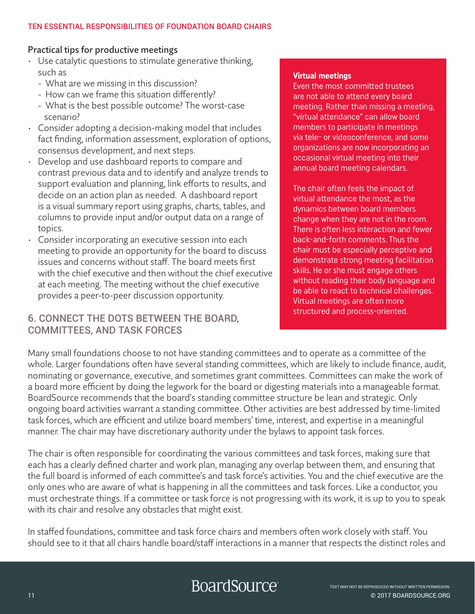#### Practical tips for productive meetings

- Use catalytic questions to stimulate generative thinking, such as
	- What are we missing in this discussion?
	- How can we frame this situation differently?
	- What is the best possible outcome? The worst-case scenario?
- Consider adopting a decision-making model that includes fact finding, information assessment, exploration of options, consensus development, and next steps.
- Develop and use dashboard reports to compare and contrast previous data and to identify and analyze trends to support evaluation and planning, link efforts to results, and decide on an action plan as needed. A dashboard report is a visual summary report using graphs, charts, tables, and columns to provide input and/or output data on a range of topics.
- Consider incorporating an executive session into each meeting to provide an opportunity for the board to discuss issues and concerns without staff. The board meets first with the chief executive and then without the chief executive at each meeting. The meeting without the chief executive provides a peer-to-peer discussion opportunity.

### 6. CONNECT THE DOTS BETWEEN THE BOARD, COMMITTEES, AND TASK FORCES

#### **Virtual meetings**

Even the most committed trustees are not able to attend every board meeting. Rather than missing a meeting, "virtual attendance" can allow board members to participate in meetings via tele- or videoconference, and some organizations are now incorporating an occasional virtual meeting into their annual board meeting calendars.

The chair often feels the impact of virtual attendance the most, as the dynamics between board members change when they are not in the room. There is often less interaction and fewer back-and-forth comments. Thus the chair must be especially perceptive and demonstrate strong meeting facilitation skills. He or she must engage others without reading their body language and be able to react to technical challenges. Virtual meetings are often more structured and process-oriented.

Many small foundations choose to not have standing committees and to operate as a committee of the whole. Larger foundations often have several standing committees, which are likely to include finance, audit, nominating or governance, executive, and sometimes grant committees. Committees can make the work of a board more efficient by doing the legwork for the board or digesting materials into a manageable format. BoardSource recommends that the board's standing committee structure be lean and strategic. Only ongoing board activities warrant a standing committee. Other activities are best addressed by time-limited task forces, which are efficient and utilize board members' time, interest, and expertise in a meaningful manner. The chair may have discretionary authority under the bylaws to appoint task forces.

The chair is often responsible for coordinating the various committees and task forces, making sure that each has a clearly defined charter and work plan, managing any overlap between them, and ensuring that the full board is informed of each committee's and task force's activities. You and the chief executive are the only ones who are aware of what is happening in all the committees and task forces. Like a conductor, you must orchestrate things. If a committee or task force is not progressing with its work, it is up to you to speak with its chair and resolve any obstacles that might exist.

In staffed foundations, committee and task force chairs and members often work closely with staff. You should see to it that all chairs handle board/staff interactions in a manner that respects the distinct roles and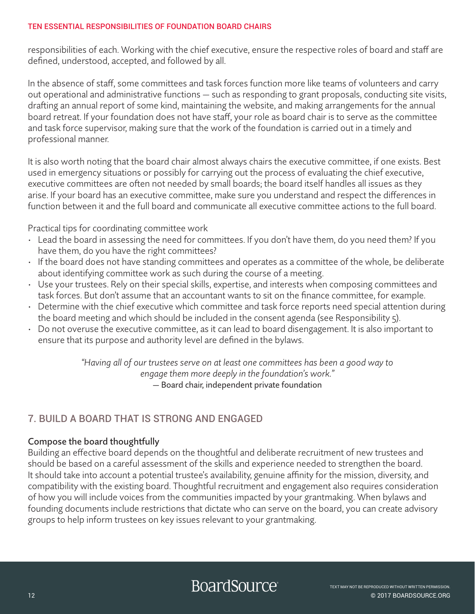responsibilities of each. Working with the chief executive, ensure the respective roles of board and staff are defined, understood, accepted, and followed by all.

In the absence of staff, some committees and task forces function more like teams of volunteers and carry out operational and administrative functions — such as responding to grant proposals, conducting site visits, drafting an annual report of some kind, maintaining the website, and making arrangements for the annual board retreat. If your foundation does not have staff, your role as board chair is to serve as the committee and task force supervisor, making sure that the work of the foundation is carried out in a timely and professional manner.

It is also worth noting that the board chair almost always chairs the executive committee, if one exists. Best used in emergency situations or possibly for carrying out the process of evaluating the chief executive, executive committees are often not needed by small boards; the board itself handles all issues as they arise. If your board has an executive committee, make sure you understand and respect the differences in function between it and the full board and communicate all executive committee actions to the full board.

Practical tips for coordinating committee work

- Lead the board in assessing the need for committees. If you don't have them, do you need them? If you have them, do you have the right committees?
- If the board does not have standing committees and operates as a committee of the whole, be deliberate about identifying committee work as such during the course of a meeting.
- Use your trustees. Rely on their special skills, expertise, and interests when composing committees and task forces. But don't assume that an accountant wants to sit on the finance committee, for example.
- Determine with the chief executive which committee and task force reports need special attention during the board meeting and which should be included in the consent agenda (see Responsibility 5).
- Do not overuse the executive committee, as it can lead to board disengagement. It is also important to ensure that its purpose and authority level are defined in the bylaws.

*"Having all of our trustees serve on at least one committees has been a good way to engage them more deeply in the foundation's work."*  — Board chair, independent private foundation

# 7. BUILD A BOARD THAT IS STRONG AND ENGAGED

#### Compose the board thoughtfully

Building an effective board depends on the thoughtful and deliberate recruitment of new trustees and should be based on a careful assessment of the skills and experience needed to strengthen the board. It should take into account a potential trustee's availability, genuine affinity for the mission, diversity, and compatibility with the existing board. Thoughtful recruitment and engagement also requires consideration of how you will include voices from the communities impacted by your grantmaking. When bylaws and founding documents include restrictions that dictate who can serve on the board, you can create advisory groups to help inform trustees on key issues relevant to your grantmaking.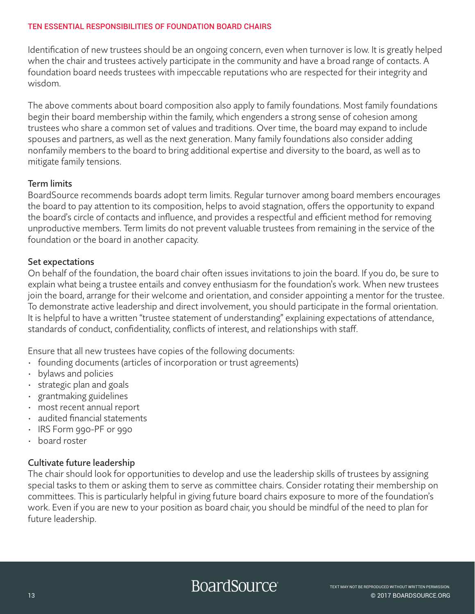Identification of new trustees should be an ongoing concern, even when turnover is low. It is greatly helped when the chair and trustees actively participate in the community and have a broad range of contacts. A foundation board needs trustees with impeccable reputations who are respected for their integrity and wisdom.

The above comments about board composition also apply to family foundations. Most family foundations begin their board membership within the family, which engenders a strong sense of cohesion among trustees who share a common set of values and traditions. Over time, the board may expand to include spouses and partners, as well as the next generation. Many family foundations also consider adding nonfamily members to the board to bring additional expertise and diversity to the board, as well as to mitigate family tensions.

#### Term limits

BoardSource recommends boards adopt term limits. Regular turnover among board members encourages the board to pay attention to its composition, helps to avoid stagnation, offers the opportunity to expand the board's circle of contacts and influence, and provides a respectful and efficient method for removing unproductive members. Term limits do not prevent valuable trustees from remaining in the service of the foundation or the board in another capacity.

#### Set expectations

On behalf of the foundation, the board chair often issues invitations to join the board. If you do, be sure to explain what being a trustee entails and convey enthusiasm for the foundation's work. When new trustees join the board, arrange for their welcome and orientation, and consider appointing a mentor for the trustee. To demonstrate active leadership and direct involvement, you should participate in the formal orientation. It is helpful to have a written "trustee statement of understanding" explaining expectations of attendance, standards of conduct, confidentiality, conflicts of interest, and relationships with staff.

Ensure that all new trustees have copies of the following documents:

- founding documents (articles of incorporation or trust agreements)
- bylaws and policies
- strategic plan and goals
- grantmaking guidelines
- most recent annual report
- audited financial statements
- IRS Form 990-PF or 990
- board roster

#### Cultivate future leadership

The chair should look for opportunities to develop and use the leadership skills of trustees by assigning special tasks to them or asking them to serve as committee chairs. Consider rotating their membership on committees. This is particularly helpful in giving future board chairs exposure to more of the foundation's work. Even if you are new to your position as board chair, you should be mindful of the need to plan for future leadership.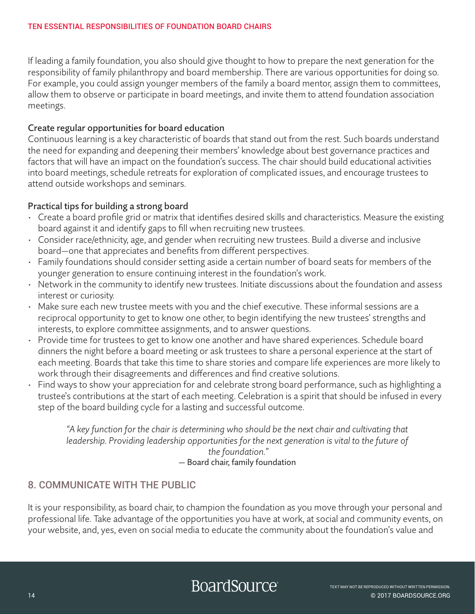If leading a family foundation, you also should give thought to how to prepare the next generation for the responsibility of family philanthropy and board membership. There are various opportunities for doing so. For example, you could assign younger members of the family a board mentor, assign them to committees, allow them to observe or participate in board meetings, and invite them to attend foundation association meetings.

#### Create regular opportunities for board education

Continuous learning is a key characteristic of boards that stand out from the rest. Such boards understand the need for expanding and deepening their members' knowledge about best governance practices and factors that will have an impact on the foundation's success. The chair should build educational activities into board meetings, schedule retreats for exploration of complicated issues, and encourage trustees to attend outside workshops and seminars.

#### Practical tips for building a strong board

- Create a board profile grid or matrix that identifies desired skills and characteristics. Measure the existing board against it and identify gaps to fill when recruiting new trustees.
- Consider race/ethnicity, age, and gender when recruiting new trustees. Build a diverse and inclusive board—one that appreciates and benefits from different perspectives.
- Family foundations should consider setting aside a certain number of board seats for members of the younger generation to ensure continuing interest in the foundation's work.
- Network in the community to identify new trustees. Initiate discussions about the foundation and assess interest or curiosity.
- Make sure each new trustee meets with you and the chief executive. These informal sessions are a reciprocal opportunity to get to know one other, to begin identifying the new trustees' strengths and interests, to explore committee assignments, and to answer questions.
- Provide time for trustees to get to know one another and have shared experiences. Schedule board dinners the night before a board meeting or ask trustees to share a personal experience at the start of each meeting. Boards that take this time to share stories and compare life experiences are more likely to work through their disagreements and differences and find creative solutions.
- Find ways to show your appreciation for and celebrate strong board performance, such as highlighting a trustee's contributions at the start of each meeting. Celebration is a spirit that should be infused in every step of the board building cycle for a lasting and successful outcome.

*"A key function for the chair is determining who should be the next chair and cultivating that leadership. Providing leadership opportunities for the next generation is vital to the future of the foundation."*  — Board chair, family foundation

## 8. COMMUNICATE WITH THE PUBLIC

It is your responsibility, as board chair, to champion the foundation as you move through your personal and professional life. Take advantage of the opportunities you have at work, at social and community events, on your website, and, yes, even on social media to educate the community about the foundation's value and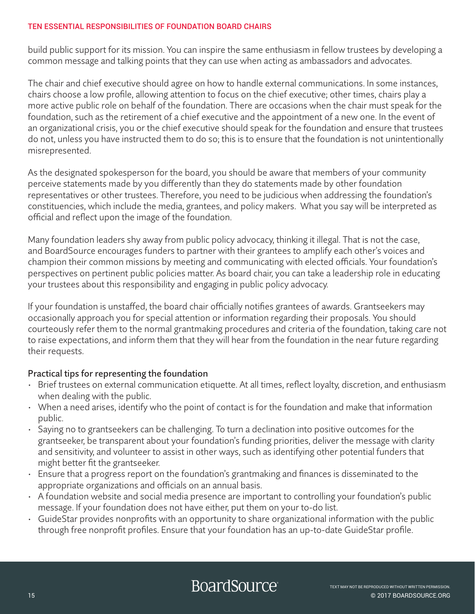build public support for its mission. You can inspire the same enthusiasm in fellow trustees by developing a common message and talking points that they can use when acting as ambassadors and advocates.

The chair and chief executive should agree on how to handle external communications. In some instances, chairs choose a low profile, allowing attention to focus on the chief executive; other times, chairs play a more active public role on behalf of the foundation. There are occasions when the chair must speak for the foundation, such as the retirement of a chief executive and the appointment of a new one. In the event of an organizational crisis, you or the chief executive should speak for the foundation and ensure that trustees do not, unless you have instructed them to do so; this is to ensure that the foundation is not unintentionally misrepresented.

As the designated spokesperson for the board, you should be aware that members of your community perceive statements made by you differently than they do statements made by other foundation representatives or other trustees. Therefore, you need to be judicious when addressing the foundation's constituencies, which include the media, grantees, and policy makers. What you say will be interpreted as official and reflect upon the image of the foundation.

Many foundation leaders shy away from public policy advocacy, thinking it illegal. That is not the case, and BoardSource encourages funders to partner with their grantees to amplify each other's voices and champion their common missions by meeting and communicating with elected officials. Your foundation's perspectives on pertinent public policies matter. As board chair, you can take a leadership role in educating your trustees about this responsibility and engaging in public policy advocacy.

If your foundation is unstaffed, the board chair officially notifies grantees of awards. Grantseekers may occasionally approach you for special attention or information regarding their proposals. You should courteously refer them to the normal grantmaking procedures and criteria of the foundation, taking care not to raise expectations, and inform them that they will hear from the foundation in the near future regarding their requests.

#### Practical tips for representing the foundation

- Brief trustees on external communication etiquette. At all times, reflect loyalty, discretion, and enthusiasm when dealing with the public.
- When a need arises, identify who the point of contact is for the foundation and make that information public.
- Saying no to grantseekers can be challenging. To turn a declination into positive outcomes for the grantseeker, be transparent about your foundation's funding priorities, deliver the message with clarity and sensitivity, and volunteer to assist in other ways, such as identifying other potential funders that might better fit the grantseeker.
- Ensure that a progress report on the foundation's grantmaking and finances is disseminated to the appropriate organizations and officials on an annual basis.
- A foundation website and social media presence are important to controlling your foundation's public message. If your foundation does not have either, put them on your to-do list.
- GuideStar provides nonprofits with an opportunity to share organizational information with the public through free nonprofit profiles. Ensure that your foundation has an up-to-date GuideStar profile.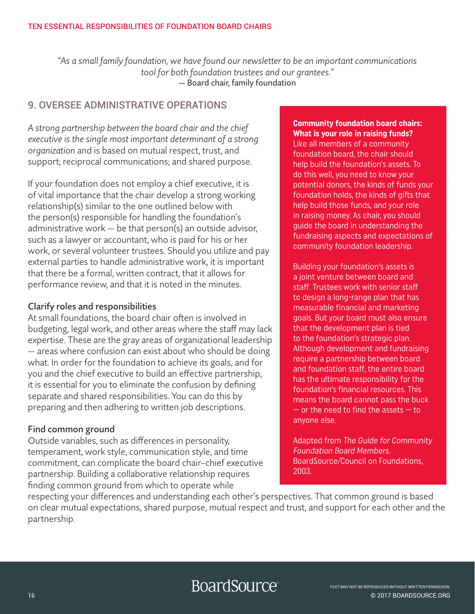*"As a small family foundation, we have found our newsletter to be an important communications tool for both foundation trustees and our grantees."*  — Board chair, family foundation

# 9. OVERSEE ADMINISTRATIVE OPERATIONS

*A strong partnership between the board chair and the chief executive is the single most important determinant of a strong organization* and is based on mutual respect, trust, and support; reciprocal communications; and shared purpose.

If your foundation does not employ a chief executive, it is of vital importance that the chair develop a strong working relationship(s) similar to the one outlined below with the person(s) responsible for handling the foundation's administrative work — be that person(s) an outside advisor, such as a lawyer or accountant, who is paid for his or her work, or several volunteer trustees. Should you utilize and pay external parties to handle administrative work, it is important that there be a formal, written contract, that it allows for performance review, and that it is noted in the minutes.

#### Clarify roles and responsibilities

At small foundations, the board chair often is involved in budgeting, legal work, and other areas where the staff may lack expertise. These are the gray areas of organizational leadership — areas where confusion can exist about who should be doing what. In order for the foundation to achieve its goals, and for you and the chief executive to build an effective partnership, it is essential for you to eliminate the confusion by defining separate and shared responsibilities. You can do this by preparing and then adhering to written job descriptions.

#### Find common ground

Outside variables, such as differences in personality, temperament, work style, communication style, and time commitment, can complicate the board chair–chief executive partnership. Building a collaborative relationship requires finding common ground from which to operate while

#### **Community foundation board chairs: What is your role in raising funds?**

Like all members of a community foundation board, the chair should help build the foundation's assets. To do this well, you need to know your potential donors, the kinds of funds your foundation holds, the kinds of gifts that help build those funds, and your role in raising money. As chair, you should guide the board in understanding the fundraising aspects and expectations of community foundation leadership.

Building your foundation's assets is a joint venture between board and staff. Trustees work with senior staff to design a long-range plan that has measurable financial and marketing goals. But your board must also ensure that the development plan is tied to the foundation's strategic plan. Although development and fundraising require a partnership between board and foundation staff, the entire board has the ultimate responsibility for the foundation's financial resources. This means the board cannot pass the buck  $-$  or the need to find the assets  $-$  to anyone else.

Adapted from The Guide for Community Foundation Board Members. BoardSource/Council on Foundations, 2003.

respecting your differences and understanding each other's perspectives. That common ground is based on clear mutual expectations, shared purpose, mutual respect and trust, and support for each other and the partnership.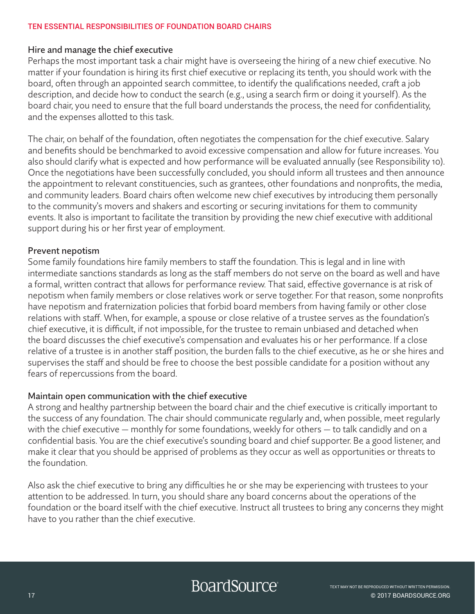#### Hire and manage the chief executive

Perhaps the most important task a chair might have is overseeing the hiring of a new chief executive. No matter if your foundation is hiring its first chief executive or replacing its tenth, you should work with the board, often through an appointed search committee, to identify the qualifications needed, craft a job description, and decide how to conduct the search (e.g., using a search firm or doing it yourself). As the board chair, you need to ensure that the full board understands the process, the need for confidentiality, and the expenses allotted to this task.

The chair, on behalf of the foundation, often negotiates the compensation for the chief executive. Salary and benefits should be benchmarked to avoid excessive compensation and allow for future increases. You also should clarify what is expected and how performance will be evaluated annually (see Responsibility 10). Once the negotiations have been successfully concluded, you should inform all trustees and then announce the appointment to relevant constituencies, such as grantees, other foundations and nonprofits, the media, and community leaders. Board chairs often welcome new chief executives by introducing them personally to the community's movers and shakers and escorting or securing invitations for them to community events. It also is important to facilitate the transition by providing the new chief executive with additional support during his or her first year of employment.

#### Prevent nepotism

Some family foundations hire family members to staff the foundation. This is legal and in line with intermediate sanctions standards as long as the staff members do not serve on the board as well and have a formal, written contract that allows for performance review. That said, effective governance is at risk of nepotism when family members or close relatives work or serve together. For that reason, some nonprofits have nepotism and fraternization policies that forbid board members from having family or other close relations with staff. When, for example, a spouse or close relative of a trustee serves as the foundation's chief executive, it is difficult, if not impossible, for the trustee to remain unbiased and detached when the board discusses the chief executive's compensation and evaluates his or her performance. If a close relative of a trustee is in another staff position, the burden falls to the chief executive, as he or she hires and supervises the staff and should be free to choose the best possible candidate for a position without any fears of repercussions from the board.

#### Maintain open communication with the chief executive

A strong and healthy partnership between the board chair and the chief executive is critically important to the success of any foundation. The chair should communicate regularly and, when possible, meet regularly with the chief executive — monthly for some foundations, weekly for others — to talk candidly and on a confidential basis. You are the chief executive's sounding board and chief supporter. Be a good listener, and make it clear that you should be apprised of problems as they occur as well as opportunities or threats to the foundation.

Also ask the chief executive to bring any difficulties he or she may be experiencing with trustees to your attention to be addressed. In turn, you should share any board concerns about the operations of the foundation or the board itself with the chief executive. Instruct all trustees to bring any concerns they might have to you rather than the chief executive.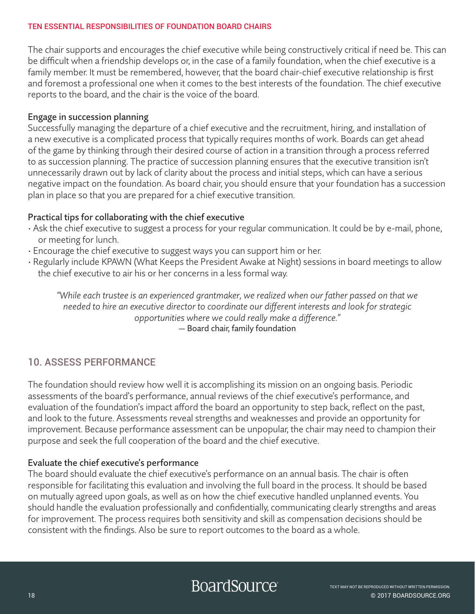The chair supports and encourages the chief executive while being constructively critical if need be. This can be difficult when a friendship develops or, in the case of a family foundation, when the chief executive is a family member. It must be remembered, however, that the board chair-chief executive relationship is first and foremost a professional one when it comes to the best interests of the foundation. The chief executive reports to the board, and the chair is the voice of the board.

#### Engage in succession planning

Successfully managing the departure of a chief executive and the recruitment, hiring, and installation of a new executive is a complicated process that typically requires months of work. Boards can get ahead of the game by thinking through their desired course of action in a transition through a process referred to as succession planning. The practice of succession planning ensures that the executive transition isn't unnecessarily drawn out by lack of clarity about the process and initial steps, which can have a serious negative impact on the foundation. As board chair, you should ensure that your foundation has a succession plan in place so that you are prepared for a chief executive transition.

#### Practical tips for collaborating with the chief executive

- Ask the chief executive to suggest a process for your regular communication. It could be by e-mail, phone, or meeting for lunch.
- Encourage the chief executive to suggest ways you can support him or her.
- Regularly include KPAWN (What Keeps the President Awake at Night) sessions in board meetings to allow the chief executive to air his or her concerns in a less formal way.

*"While each trustee is an experienced grantmaker, we realized when our father passed on that we needed to hire an executive director to coordinate our different interests and look for strategic opportunities where we could really make a difference."*  — Board chair, family foundation

# 10. ASSESS PERFORMANCE

The foundation should review how well it is accomplishing its mission on an ongoing basis. Periodic assessments of the board's performance, annual reviews of the chief executive's performance, and evaluation of the foundation's impact afford the board an opportunity to step back, reflect on the past, and look to the future. Assessments reveal strengths and weaknesses and provide an opportunity for improvement. Because performance assessment can be unpopular, the chair may need to champion their purpose and seek the full cooperation of the board and the chief executive.

#### Evaluate the chief executive's performance

The board should evaluate the chief executive's performance on an annual basis. The chair is often responsible for facilitating this evaluation and involving the full board in the process. It should be based on mutually agreed upon goals, as well as on how the chief executive handled unplanned events. You should handle the evaluation professionally and confidentially, communicating clearly strengths and areas for improvement. The process requires both sensitivity and skill as compensation decisions should be consistent with the findings. Also be sure to report outcomes to the board as a whole.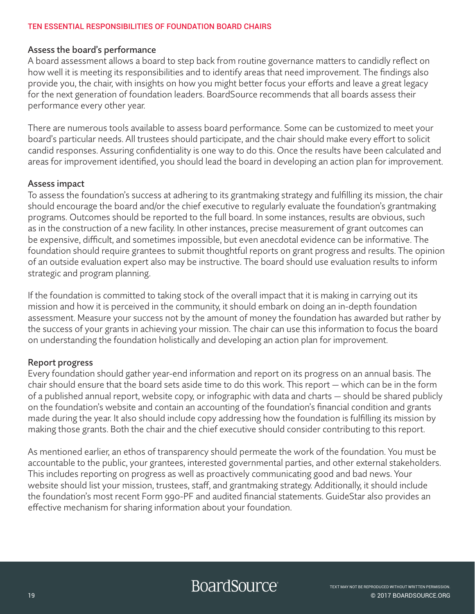#### Assess the board's performance

A board assessment allows a board to step back from routine governance matters to candidly reflect on how well it is meeting its responsibilities and to identify areas that need improvement. The findings also provide you, the chair, with insights on how you might better focus your efforts and leave a great legacy for the next generation of foundation leaders. BoardSource recommends that all boards assess their performance every other year.

There are numerous tools available to assess board performance. Some can be customized to meet your board's particular needs. All trustees should participate, and the chair should make every effort to solicit candid responses. Assuring confidentiality is one way to do this. Once the results have been calculated and areas for improvement identified, you should lead the board in developing an action plan for improvement.

#### Assess impact

To assess the foundation's success at adhering to its grantmaking strategy and fulfilling its mission, the chair should encourage the board and/or the chief executive to regularly evaluate the foundation's grantmaking programs. Outcomes should be reported to the full board. In some instances, results are obvious, such as in the construction of a new facility. In other instances, precise measurement of grant outcomes can be expensive, difficult, and sometimes impossible, but even anecdotal evidence can be informative. The foundation should require grantees to submit thoughtful reports on grant progress and results. The opinion of an outside evaluation expert also may be instructive. The board should use evaluation results to inform strategic and program planning.

If the foundation is committed to taking stock of the overall impact that it is making in carrying out its mission and how it is perceived in the community, it should embark on doing an in-depth foundation assessment. Measure your success not by the amount of money the foundation has awarded but rather by the success of your grants in achieving your mission. The chair can use this information to focus the board on understanding the foundation holistically and developing an action plan for improvement.

#### Report progress

Every foundation should gather year-end information and report on its progress on an annual basis. The chair should ensure that the board sets aside time to do this work. This report — which can be in the form of a published annual report, website copy, or infographic with data and charts — should be shared publicly on the foundation's website and contain an accounting of the foundation's financial condition and grants made during the year. It also should include copy addressing how the foundation is fulfilling its mission by making those grants. Both the chair and the chief executive should consider contributing to this report.

As mentioned earlier, an ethos of transparency should permeate the work of the foundation. You must be accountable to the public, your grantees, interested governmental parties, and other external stakeholders. This includes reporting on progress as well as proactively communicating good and bad news. Your website should list your mission, trustees, staff, and grantmaking strategy. Additionally, it should include the foundation's most recent Form 990-PF and audited financial statements. GuideStar also provides an effective mechanism for sharing information about your foundation.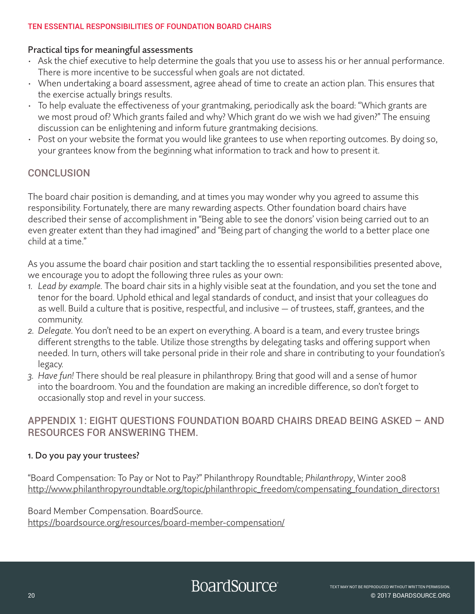#### Practical tips for meaningful assessments

- Ask the chief executive to help determine the goals that you use to assess his or her annual performance. There is more incentive to be successful when goals are not dictated.
- When undertaking a board assessment, agree ahead of time to create an action plan. This ensures that the exercise actually brings results.
- To help evaluate the effectiveness of your grantmaking, periodically ask the board: "Which grants are we most proud of? Which grants failed and why? Which grant do we wish we had given?" The ensuing discussion can be enlightening and inform future grantmaking decisions.
- Post on your website the format you would like grantees to use when reporting outcomes. By doing so, your grantees know from the beginning what information to track and how to present it.

## **CONCLUSION**

The board chair position is demanding, and at times you may wonder why you agreed to assume this responsibility. Fortunately, there are many rewarding aspects. Other foundation board chairs have described their sense of accomplishment in "Being able to see the donors' vision being carried out to an even greater extent than they had imagined" and "Being part of changing the world to a better place one child at a time."

As you assume the board chair position and start tackling the 10 essential responsibilities presented above, we encourage you to adopt the following three rules as your own:

- *1. Lead by example.* The board chair sits in a highly visible seat at the foundation, and you set the tone and tenor for the board. Uphold ethical and legal standards of conduct, and insist that your colleagues do as well. Build a culture that is positive, respectful, and inclusive — of trustees, staff, grantees, and the community.
- *2. Delegate.* You don't need to be an expert on everything. A board is a team, and every trustee brings different strengths to the table. Utilize those strengths by delegating tasks and offering support when needed. In turn, others will take personal pride in their role and share in contributing to your foundation's legacy.
- *3. Have fun!* There should be real pleasure in philanthropy. Bring that good will and a sense of humor into the boardroom. You and the foundation are making an incredible difference, so don't forget to occasionally stop and revel in your success.

## APPENDIX 1: EIGHT QUESTIONS FOUNDATION BOARD CHAIRS DREAD BEING ASKED – AND RESOURCES FOR ANSWERING THEM.

#### 1. Do you pay your trustees?

"Board Compensation: To Pay or Not to Pay?" Philanthropy Roundtable; *Philanthropy*, Winter 2008 [http://www.philanthropyroundtable.org/topic/philanthropic\\_freedom/compensating\\_foundation\\_directors1](http://www.philanthropyroundtable.org/topic/philanthropic_freedom/compensating_foundation_directors1 )

Board Member Compensation. BoardSource. [https://boardsource.org/resources/board-member-compensation/](https://boardsource.org/resources/board-member-compensation/ )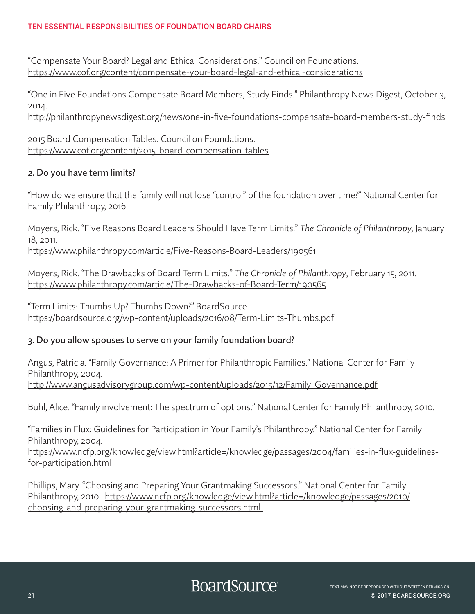"Compensate Your Board? Legal and Ethical Considerations." Council on Foundations. [https://www.cof.org/content/compensate-your-board-legal-and-ethical-considerations](https://www.cof.org/content/compensate-your-board-legal-and-ethical-considerations )

"One in Five Foundations Compensate Board Members, Study Finds." Philanthropy News Digest, October 3, 2014.

[http://philanthropynewsdigest.org/news/one-in-five-foundations-compensate-board-members-study-finds](http://philanthropynewsdigest.org/news/one-in-five-foundations-compensate-board-members-study-finds )

2015 Board Compensation Tables. Council on Foundations. [https://www.cof.org/content/2015-board-compensation-tables](https://www.cof.org/content/2015-board-compensation-tables )

#### 2. Do you have term limits?

["How do we ensure that the family will not lose "control" of the foundation over time?"](https://www.ncfp.org/knowledge/view.html?article=/knowledge/ask-the-center/2017/keeping-control-in-the-family.html) National Center for Family Philanthropy, 2016

Moyers, Rick. "Five Reasons Board Leaders Should Have Term Limits." *The Chronicle of Philanthropy,* January 18, 2011.

<https://www.philanthropy.com/article/Five-Reasons-Board-Leaders/190561>

Moyers, Rick. "The Drawbacks of Board Term Limits." *The Chronicle of Philanthropy*, February 15, 2011. https://www.philanthropy.com/article/The-Drawbacks-of-Board-Term/19056[5](https://www.philanthropy.com/article/The-Drawbacks-of-Board-Term/190565)

"Term Limits: Thumbs Up? Thumbs Down?" BoardSource. [https://boardsource.org/wp-content/uploads/2016/08/Term-Limits-Thumbs.pdf](https://boardsource.org/wp-content/uploads/2016/08/Term-Limits-Thumbs.pdf )

#### 3. Do you allow spouses to serve on your family foundation board?

Angus, Patricia. "Family Governance: A Primer for Philanthropic Families." National Center for Family Philanthropy, 2004. [http://www.angusadvisorygroup.com/wp-content/uploads/2015/12/Family\\_Governance.pdf](http://www.angusadvisorygroup.com/wp-content/uploads/2015/12/Family_Governance.pdf )

Buhl, Alice. <u>["Family involvement: The spectrum of options."](https://www.ncfp.org/knowledge/view.html?article=/blog/2010/oct-family-involvement.html)</u> National Center for Family Philanthropy, 2010.

"Families in Flux: Guidelines for Participation in Your Family's Philanthropy." National Center for Family Philanthropy, 2004.

[https://www.ncfp.org/knowledge/view.html?article=/knowledge/passages/2004/families-in-flux-guidelines](https://www.ncfp.org/knowledge/view.html?article=/knowledge/passages/2004/families-in-flux-guidelines-for-participation.html)[for-participation.html](https://www.ncfp.org/knowledge/view.html?article=/knowledge/passages/2004/families-in-flux-guidelines-for-participation.html)

Phillips, Mary. "Choosing and Preparing Your Grantmaking Successors." National Center for Family Philanthropy, 2010. [https://www.ncfp.org/knowledge/view.html?article=/knowledge/passages/2010/](https://www.ncfp.org/knowledge/view.html?article=/knowledge/passages/2010/choosing-and-preparing-your-grantmaking-successors.html ) [choosing-and-preparing-your-grantmaking-successors.html](https://www.ncfp.org/knowledge/view.html?article=/knowledge/passages/2010/choosing-and-preparing-your-grantmaking-successors.html )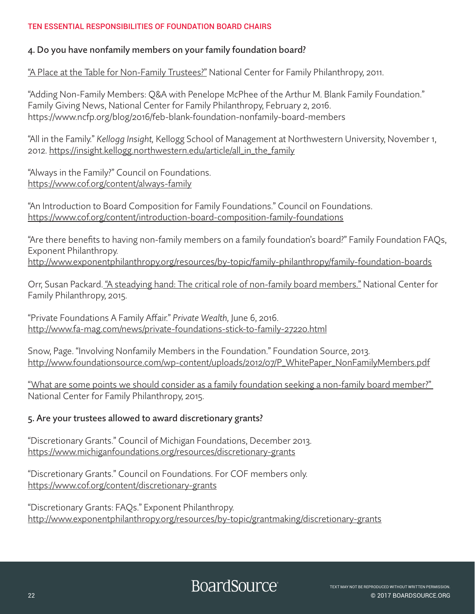#### 4. Do you have nonfamily members on your family foundation board?

["A Place at the Table for Non-Family Trustees?"](https://www.ncfp.org/knowledge/view.html?article=/blog/2011/may-a-place-at-the-table-for-non-family-trustees.html) National Center for Family Philanthropy, 2011.

"Adding Non-Family Members: Q&A with Penelope McPhee of the Arthur M. Blank Family Foundation." Family Giving News, National Center for Family Philanthropy, February 2, 2016. <https://www.ncfp.org/blog/2016/feb>-blank-foundation-nonfamily-board-members

"All in the Family." *Kellogg Insight,* Kellogg School of Management at Northwestern University, November 1, 2012. [https://insight.kellogg.northwestern.edu/article/all\\_in\\_the\\_family](https://insight.kellogg.northwestern.edu/article/all_in_the_family)

"Always in the Family?" Council on Foundations. <https://www.cof.org/content/always>-family

"An Introduction to Board Composition for Family Foundations." Council on Foundations. <https://www.cof.org/content/introduction>-board-composition-family-foundations

"Are there benefits to having non-family members on a family foundation's board?" Family Foundation FAQs, Exponent Philanthropy. <http://www.exponentphilanthropy.org/resources/by-topic/family-philanthropy/family-foundation-boards>

Orr, Susan Packard. ["A steadying hand: The critical role of non-family board members."](https://www.ncfp.org/knowledge/view.html?article=/knowledge/passages/2015/a-steadying-hand-non-family-board-members) National Center for Family Philanthropy, 2015.

"Private Foundations A Family Affair." *Private Wealth,* June 6, 2016. <http://www.fa-mag.com/news/private-foundations-stick-to-family-27220.html>

Snow, Page. "Involving Nonfamily Members in the Foundation." Foundation Source, 2013. [http://www.foundationsource.com/wp-content/uploads/2012/07/P\\_WhitePaper\\_NonFamilyMembers.pdf](http://www.foundationsource.com/wp-content/uploads/2012/07/P_WhitePaper_NonFamilyMembers.pdf)

["What are some points we should consider as a family foundation seeking a non-family board member?"](https://www.ncfp.org/knowledge/view.html?article=/blog/2015/oct-role-of-non-family-board-members)  National Center for Family Philanthropy, 2015.

#### 5. Are your trustees allowed to award discretionary grants?

"Discretionary Grants." Council of Michigan Foundations, December 2013. <https://www.michiganfoundations.org/resources/discretionary-grants>

"Discretionary Grants." Council on Foundations. For COF members only. [https://www.cof.org/content/discretionary-](https://www.cof.org/content/discretionary)grants

"Discretionary Grants: FAQs." Exponent Philanthropy. <http://www.exponentphilanthropy.org/resources/by-topic/grantmaking/discretionary-grants>

BoardSource<sup>®</sup>

22 © 2017 BOARDSOURCE.ORG TEXT MAY NOT BE REPRODUCED WITHOUT WRITTEN PERMISSION.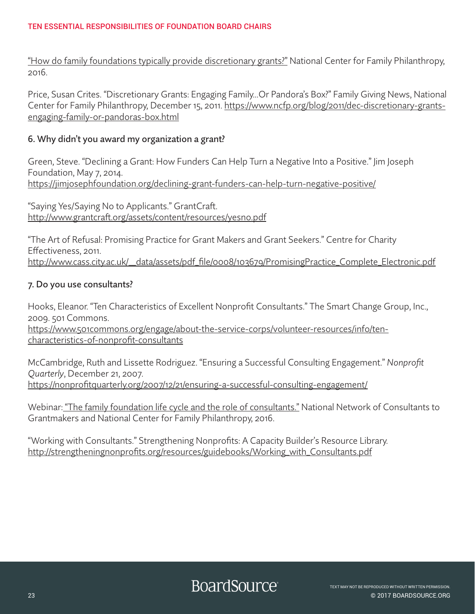["How do family foundations typically provide discretionary grants?"](https://www.ncfp.org/knowledge/view.html?article=/knowledge/ask-the-center/2016/providing-discretionary-grants.html) National Center for Family Philanthropy, 2016.

Price, Susan Crites. "Discretionary Grants: Engaging Family…Or Pandora's Box?" Family Giving News, National Center for Family Philanthropy, December 15, 2011. [https://www.ncfp.org/blog/2011/dec-discretionary-grants](https://www.ncfp.org/blog/2011/dec-discretionary-grants-engaging-family-or-pandoras-box.html)[engaging-family-or-pandoras-box.html](https://www.ncfp.org/blog/2011/dec-discretionary-grants-engaging-family-or-pandoras-box.html)

#### 6. Why didn't you award my organization a grant?

Green, Steve. "Declining a Grant: How Funders Can Help Turn a Negative Into a Positive." Jim Joseph Foundation, May 7, 2014. [https://jimjosephfoundation.org/declining-](https://jimjosephfoundation.org/declining)grant-funders-can-help-turn-negative-positive/

"Saying Yes/Saying No to Applicants." GrantCraft. <http://www.grantcraft.org/assets/content/resources/yesno.pdf>

"The Art of Refusal: Promising Practice for Grant Makers and Grant Seekers." Centre for Charity Effectiveness, 2011. [http://www.cass.city.ac.uk/\\_\\_data/assets/pdf\\_file/0008/103679/PromisingPractice\\_Complete\\_Electronic.pdf](http://www.cass.city.ac.uk/__data/assets/pdf_file/0008/103679/PromisingPractice_Complete_Electronic.pdf)

### 7. Do you use consultants?

Hooks, Eleanor. "Ten Characteristics of Excellent Nonprofit Consultants." The Smart Change Group, Inc., 2009. 501 Commons. [https://www.501commons.org/engage/about-the-service-corps/volunteer-resources/info/ten](https://www.501commons.org/engage/about-the-service-corps/volunteer-resources/info/ten-characteristics-of-nonprofit-consultants)[characteristics-of-nonprofit-consultants](https://www.501commons.org/engage/about-the-service-corps/volunteer-resources/info/ten-characteristics-of-nonprofit-consultants)

McCambridge, Ruth and Lissette Rodriguez. "Ensuring a Successful Consulting Engagement." *Nonprofit Quarterly*, December 21, 2007. [https://nonprofitquarterly.org/2007/12/21/ensuring-](https://nonprofitquarterly.org/2007/12/21/ensuring)a-successful-consulting-engagement/

Webinar[: "The family foundation life cycle and the role of consultants."](https://www.ncfp.org/knowledge/view.html?event=/resource/events/2016/family-foundation-life-cycle-and-role-of-consultants) National Network of Consultants to Grantmakers and National Center for Family Philanthropy, 2016.

"Working with Consultants." Strengthening Nonprofits: A Capacity Builder's Resource Library. [http://strengtheningnonprofits.org/resources/guidebooks/Working\\_with\\_Consultants.pdf](http://strengtheningnonprofits.org/resources/guidebooks/Working_with_Consultants.pdf)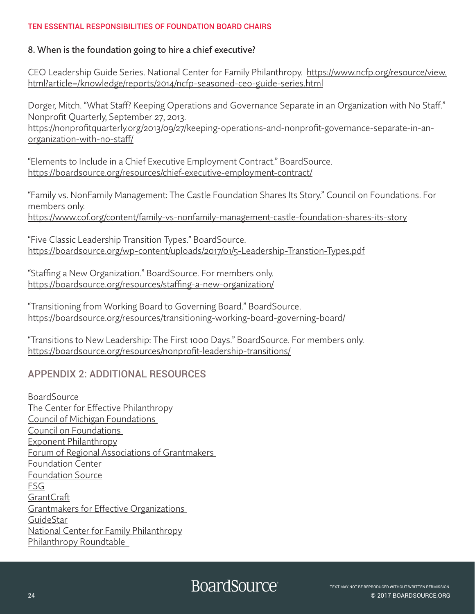#### 8. When is the foundation going to hire a chief executive?

CEO Leadership Guide Series. National Center for Family Philanthropy. [https://www.ncfp.org/resource/view.](https://www.ncfp.org/resource/view.html?article=/knowledge/reports/2014/ncfp-seasoned-ceo-guide-series.html) [html?article=/knowledge/reports/2014/ncfp-seasoned-ceo-guide-series.html](https://www.ncfp.org/resource/view.html?article=/knowledge/reports/2014/ncfp-seasoned-ceo-guide-series.html)

Dorger, Mitch. "What Staff? Keeping Operations and Governance Separate in an Organization with No Staff." Nonprofit Quarterly, September 27, 2013.

<https://nonprofitquarterly.org/2013/09/27/keeping>-operations-and-nonprofit-governance-separate-in-anorganization-with-no-staff/

"Elements to Include in a Chief Executive Employment Contract." BoardSource. [https://boardsource.org/resources/chief-](https://boardsource.org/resources/chief)executive-employment-contract/

"Family vs. NonFamily Management: The Castle Foundation Shares Its Story." Council on Foundations. For members only.

[https://www.cof.org/content/family-](https://www.cof.org/content/family)vs-nonfamily-management-castle-foundation-shares-its-story

"Five Classic Leadership Transition Types." BoardSource. <https://boardsource.org/wp-content/uploads/2017/01/5-Leadership-Transtion-Types.pdf>

"Staffing a New Organization." BoardSource. For members only. <https://boardsource.org/resources/staffing>-a-new-organization/

"Transitioning from Working Board to Governing Board." BoardSource. <https://boardsource.org/resources/transitioning>-working-board-governing-board/

"Transitions to New Leadership: The First 1000 Days." BoardSource. For members only. [https://boardsource.org/resources/nonprofit-](https://boardsource.org/resources/nonprofit)leadership-transitions/

## APPENDIX 2: ADDITIONAL RESOURCES

**[BoardSource](http://www.boardsource.org.)** [The Center for Effective Philanthropy](http://www.effectivephilanthropy.org) [Council of Michigan Foundations](http://www.michiganfoundations.org)  [Council on Foundations](http://www.cof.org)  [Exponent Philanthropy](http://www.exponentphilanthropy.org/) [Forum of Regional Associations of Grantmakers](http://www.givingforum.org)  [Foundation Center](http://www.foundationcenter.org)  [Foundation Source](http://www.foundationsource.org) [FSG](http://www.fsg.org) **[GrantCraft](http://www.grantcraft.org)** [Grantmakers for Effective Organizations](http://www.geofunders.org)  [GuideStar](http://www.guidestar.org) [National Center for Family Philanthropy](https://www.ncfp.org/) [Philanthropy Roundtable](http://www.philanthropyroundtable.org/)